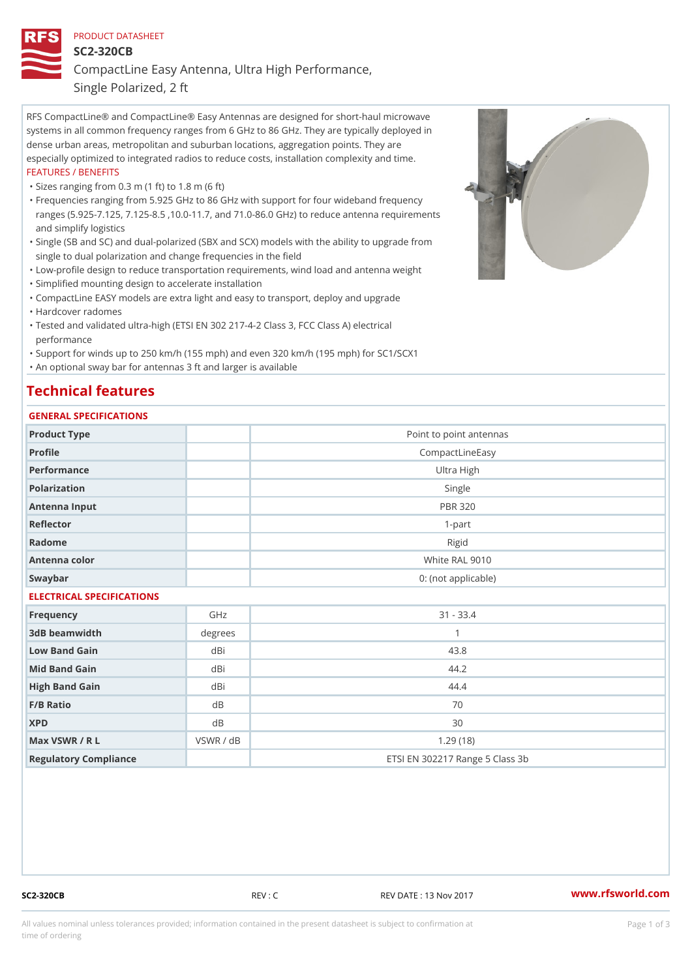### PRODUCT DATASHEET

SC2-320CB

CompactLine Easy Antenna, Ultra High Performance,

Single Polarized, 2 ft

RFS CompactLine® and CompactLine® Easy Antennas are designed for short-haul microwave systems in all common frequency ranges from 6 GHz to 86 GHz. They are typically deployed in dense urban areas, metropolitan and suburban locations, aggregation points. They are especially optimized to integrated radios to reduce costs, installation complexity and time. FEATURES / BENEFITS

"Sizes ranging from 0.3 m (1 ft) to 1.8 m (6 ft)

- Frequencies ranging from 5.925 GHz to 86 GHz with support for four wideband frequency " ranges (5.925-7.125, 7.125-8.5 ,10.0-11.7, and 71.0-86.0 GHz) to reduce antenna requirements and simplify logistics
- Single (SB and SC) and dual-polarized (SBX and SCX) models with the ability to upgrade from " single to dual polarization and change frequencies in the field
- "Low-profile design to reduce transportation requirements, wind load and antenna weight
- "Simplified mounting design to accelerate installation

 "CompactLine EASY models are extra light and easy to transport, deploy and upgrade "Hardcover radomes

Tested and validated ultra-high (ETSI EN 302 217-4-2 Class 3, FCC Class A) electrical " performance

 "Support for winds up to 250 km/h (155 mph) and even 320 km/h (195 mph) for SC1/SCX1 "An optional sway bar for antennas 3 ft and larger is available

# Technical features

## GENERAL SPECIFICATIONS

| OLIVERAL OF LOTITOATIONS  |           |                                 |  |  |  |
|---------------------------|-----------|---------------------------------|--|--|--|
| Product Type              |           | Point to point antennas         |  |  |  |
| Profile                   |           | CompactLineEasy                 |  |  |  |
| Performance               |           | Ultra High                      |  |  |  |
| Polarization              |           | Single                          |  |  |  |
| Antenna Input             |           | <b>PBR 320</b>                  |  |  |  |
| Reflector                 |           | $1 - p$ art                     |  |  |  |
| Radome                    |           | Rigid                           |  |  |  |
| Antenna color             |           | White RAL 9010                  |  |  |  |
| Swaybar                   |           | 0: (not applicable)             |  |  |  |
| ELECTRICAL SPECIFICATIONS |           |                                 |  |  |  |
| Frequency                 | GHz       | $31 - 33.4$                     |  |  |  |
| 3dB beamwidth             | degrees   | $\mathbf{1}$                    |  |  |  |
| Low Band Gain             | dBi       | 43.8                            |  |  |  |
| Mid Band Gain             | dBi       | 44.2                            |  |  |  |
| High Band Gain            | dBi       | 44.4                            |  |  |  |
| F/B Ratio                 | d B       | 70                              |  |  |  |
| <b>XPD</b>                | $d$ B     | 30                              |  |  |  |
| Max VSWR / R L            | VSWR / dB | 1.29(18)                        |  |  |  |
| Regulatory Compliance     |           | ETSI EN 302217 Range 5 Class 3b |  |  |  |

SC2-320CB REV : C REV DATE : 13 Nov 2017 WWW.rfsworld.com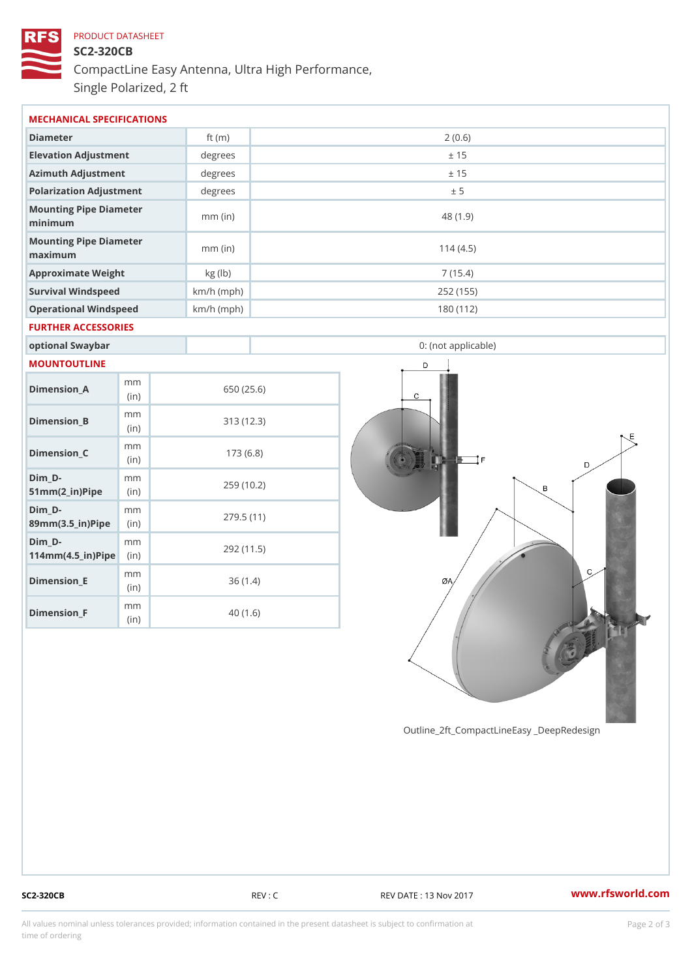# PRODUCT DATASHEET SC2-320CB CompactLine Easy Antenna, Ultra High Performance, Single Polarized, 2 ft

| MECHANICAL SPECIFICATIONS                                              |                  |              |                     |  |  |  |
|------------------------------------------------------------------------|------------------|--------------|---------------------|--|--|--|
| Diameter                                                               |                  | ft $(m)$     | 2(0.6)              |  |  |  |
| Elevation Adjustment                                                   |                  | degrees      | ± 15                |  |  |  |
| Azimuth Adjustment                                                     |                  | degree       | ± 15                |  |  |  |
| Polarization Adjustment                                                |                  | degrees      | ± 5                 |  |  |  |
| Mounting Pipe Diameter<br>minimum                                      |                  | $mm$ (in)    | 48 (1.9)            |  |  |  |
| Mounting Pipe Diameter<br>maximum                                      |                  | $mm$ (in)    | 114(4.5)            |  |  |  |
| Approximate Weight                                                     |                  | kg (lb)      | 7(15.4)             |  |  |  |
| Survival Windspeed                                                     |                  | $km/h$ (mph) | 252 (155)           |  |  |  |
| Operational Windspeed                                                  |                  | $km/h$ (mph) | 180 (112)           |  |  |  |
| FURTHER ACCESSORIES                                                    |                  |              |                     |  |  |  |
| optional Swaybar                                                       |                  |              | 0: (not applicable) |  |  |  |
| MOUNTOUTLINE                                                           |                  |              |                     |  |  |  |
| $Dimension_A$                                                          | m m<br>(in)      |              | 650 (25.6)          |  |  |  |
| Dimension_B                                                            | m m<br>(in)      |              | 313(12.3)           |  |  |  |
| $Dimenision_C$                                                         | m m<br>(in)      |              | 173(6.8)            |  |  |  |
| $Dim_D - D -$<br>$51mm(2_in)Pi$ p $éin$                                | m m              |              | 259 (10.2)          |  |  |  |
| $Dim_D - D -$<br>89mm (3.5_in) Pi(pine)                                | m m              |              | 279.5(11)           |  |  |  |
| $Dim_D - D -$<br>$114$ m m $(4.5$ ir $)$ $\sqrt{$ ii $\sqrt{p}}$ $\ge$ | m m              |              | 292 (11.5)          |  |  |  |
| $Dimen sion _E$                                                        | m m<br>(in)      |              | 36(1.4)             |  |  |  |
| Dimension_F                                                            | m m<br>$\int$ in |              | 40(1.6)             |  |  |  |

Outline\_2ft\_CompactLineEasy \_DeepRedesi

 $(in)$ 

SC2-320CB REV : C REV DATE : 13 Nov 2017 WWW.rfsworld.com